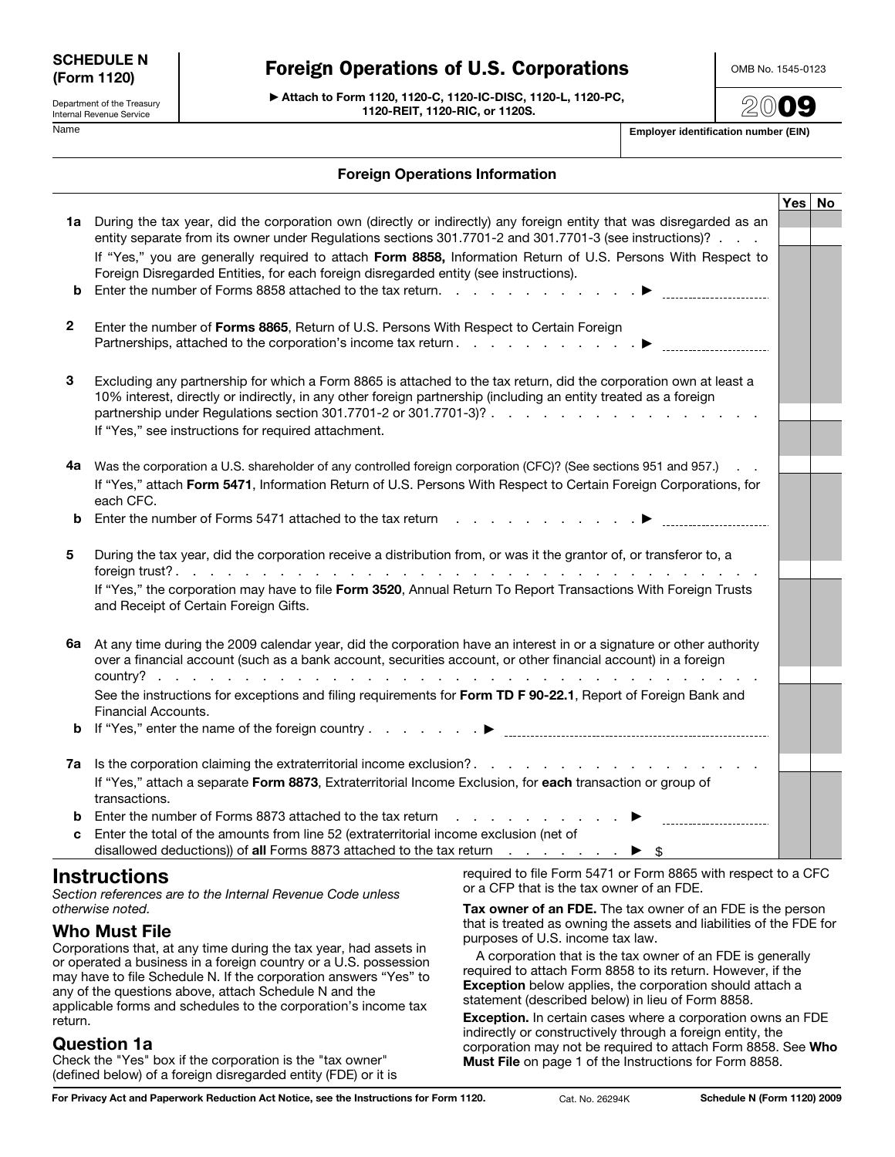| <b>SCHEDULE N</b> |  |
|-------------------|--|
| (Form 1120)       |  |

Department of the Treasury Internal Revenue Service

# Foreign Operations of U.S. Corporations

© **Attach to Form 1120, 1120-C, 1120-IC-DISC, 1120-L, 1120-PC, 1120-REIT, 1120-RIC, or 1120S.**

OMB No. 1545-0123

**20**09

Name **Employer identification number (EIN)**

#### **Foreign Operations Information**

|                                                                                   |                                                                                                                                                                                                                                                                                              |                                                                                                                                                                                                                                                              | Yes $\vert$ No |
|-----------------------------------------------------------------------------------|----------------------------------------------------------------------------------------------------------------------------------------------------------------------------------------------------------------------------------------------------------------------------------------------|--------------------------------------------------------------------------------------------------------------------------------------------------------------------------------------------------------------------------------------------------------------|----------------|
|                                                                                   | 1a During the tax year, did the corporation own (directly or indirectly) any foreign entity that was disregarded as an<br>entity separate from its owner under Regulations sections 301.7701-2 and 301.7701-3 (see instructions)?                                                            |                                                                                                                                                                                                                                                              |                |
|                                                                                   |                                                                                                                                                                                                                                                                                              |                                                                                                                                                                                                                                                              |                |
|                                                                                   | If "Yes," you are generally required to attach Form 8858, Information Return of U.S. Persons With Respect to<br>Foreign Disregarded Entities, for each foreign disregarded entity (see instructions).                                                                                        |                                                                                                                                                                                                                                                              |                |
| b                                                                                 | Enter the number of Forms 8858 attached to the tax return.                                                                                                                                                                                                                                   |                                                                                                                                                                                                                                                              |                |
| $\mathbf{2}$                                                                      | Enter the number of Forms 8865, Return of U.S. Persons With Respect to Certain Foreign                                                                                                                                                                                                       |                                                                                                                                                                                                                                                              |                |
| 3                                                                                 | Excluding any partnership for which a Form 8865 is attached to the tax return, did the corporation own at least a<br>10% interest, directly or indirectly, in any other foreign partnership (including an entity treated as a foreign<br>If "Yes," see instructions for required attachment. |                                                                                                                                                                                                                                                              |                |
|                                                                                   | 4a Was the corporation a U.S. shareholder of any controlled foreign corporation (CFC)? (See sections 951 and 957.)<br>If "Yes," attach Form 5471, Information Return of U.S. Persons With Respect to Certain Foreign Corporations, for<br>each CFC.                                          |                                                                                                                                                                                                                                                              |                |
| b                                                                                 | Enter the number of Forms 5471 attached to the tax return                                                                                                                                                                                                                                    |                                                                                                                                                                                                                                                              |                |
| 5                                                                                 | During the tax year, did the corporation receive a distribution from, or was it the grantor of, or transferor to, a<br>If "Yes," the corporation may have to file Form 3520, Annual Return To Report Transactions With Foreign Trusts<br>and Receipt of Certain Foreign Gifts.               |                                                                                                                                                                                                                                                              |                |
|                                                                                   |                                                                                                                                                                                                                                                                                              |                                                                                                                                                                                                                                                              |                |
| 6a                                                                                | At any time during the 2009 calendar year, did the corporation have an interest in or a signature or other authority<br>over a financial account (such as a bank account, securities account, or other financial account) in a foreign                                                       |                                                                                                                                                                                                                                                              |                |
|                                                                                   | See the instructions for exceptions and filing requirements for Form TD F 90-22.1, Report of Foreign Bank and<br>Financial Accounts.                                                                                                                                                         |                                                                                                                                                                                                                                                              |                |
| b                                                                                 |                                                                                                                                                                                                                                                                                              |                                                                                                                                                                                                                                                              |                |
|                                                                                   | 7a Is the corporation claiming the extraterritorial income exclusion?                                                                                                                                                                                                                        |                                                                                                                                                                                                                                                              |                |
|                                                                                   | If "Yes," attach a separate Form 8873, Extraterritorial Income Exclusion, for each transaction or group of<br>transactions.                                                                                                                                                                  |                                                                                                                                                                                                                                                              |                |
|                                                                                   | <b>b</b> Enter the number of Forms 8873 attached to the tax return                                                                                                                                                                                                                           | a construction of the construction of the construction of the construction of the construction of the construction of the construction of the construction of the construction of the construction of the construction of the<br>___________________________ |                |
|                                                                                   | Enter the total of the amounts from line 52 (extraterritorial income exclusion (net of<br>disallowed deductions)) of all Forms 8873 attached to the tax return $\ldots$ $\ldots$ $\ldots$                                                                                                    |                                                                                                                                                                                                                                                              |                |
| <b>Instructions</b><br>Section references are to the Internal Revenue Code unless |                                                                                                                                                                                                                                                                                              | required to file Form 5471 or Form 8865 with respect to a CFC<br>or a CFP that is the tax owner of an FDE.                                                                                                                                                   |                |
| otherwise noted.                                                                  |                                                                                                                                                                                                                                                                                              | Tax owner of an FDE. The tax owner of an FDE is the person                                                                                                                                                                                                   |                |
|                                                                                   | that is treated as owning the assets and liabilities of the FDE for<br><b>Who Must File</b><br>purposoo of LLC income to low                                                                                                                                                                 |                                                                                                                                                                                                                                                              |                |

Corporations that, at any time during the tax year, had assets in or operated a business in a foreign country or a U.S. possession may have to file Schedule N. If the corporation answers "Yes" to any of the questions above, attach Schedule N and the applicable forms and schedules to the corporation's income tax return.

### **Question 1a**

Check the "Yes" box if the corporation is the "tax owner" (defined below) of a foreign disregarded entity (FDE) or it is

that is treated as owning the assets and liabilities of the FDE for purposes of U.S. income tax law.

A corporation that is the tax owner of an FDE is generally required to attach Form 8858 to its return. However, if the **Exception** below applies, the corporation should attach a statement (described below) in lieu of Form 8858.

**Exception.** In certain cases where a corporation owns an FDE indirectly or constructively through a foreign entity, the corporation may not be required to attach Form 8858. See **Who Must File** on page 1 of the Instructions for Form 8858.